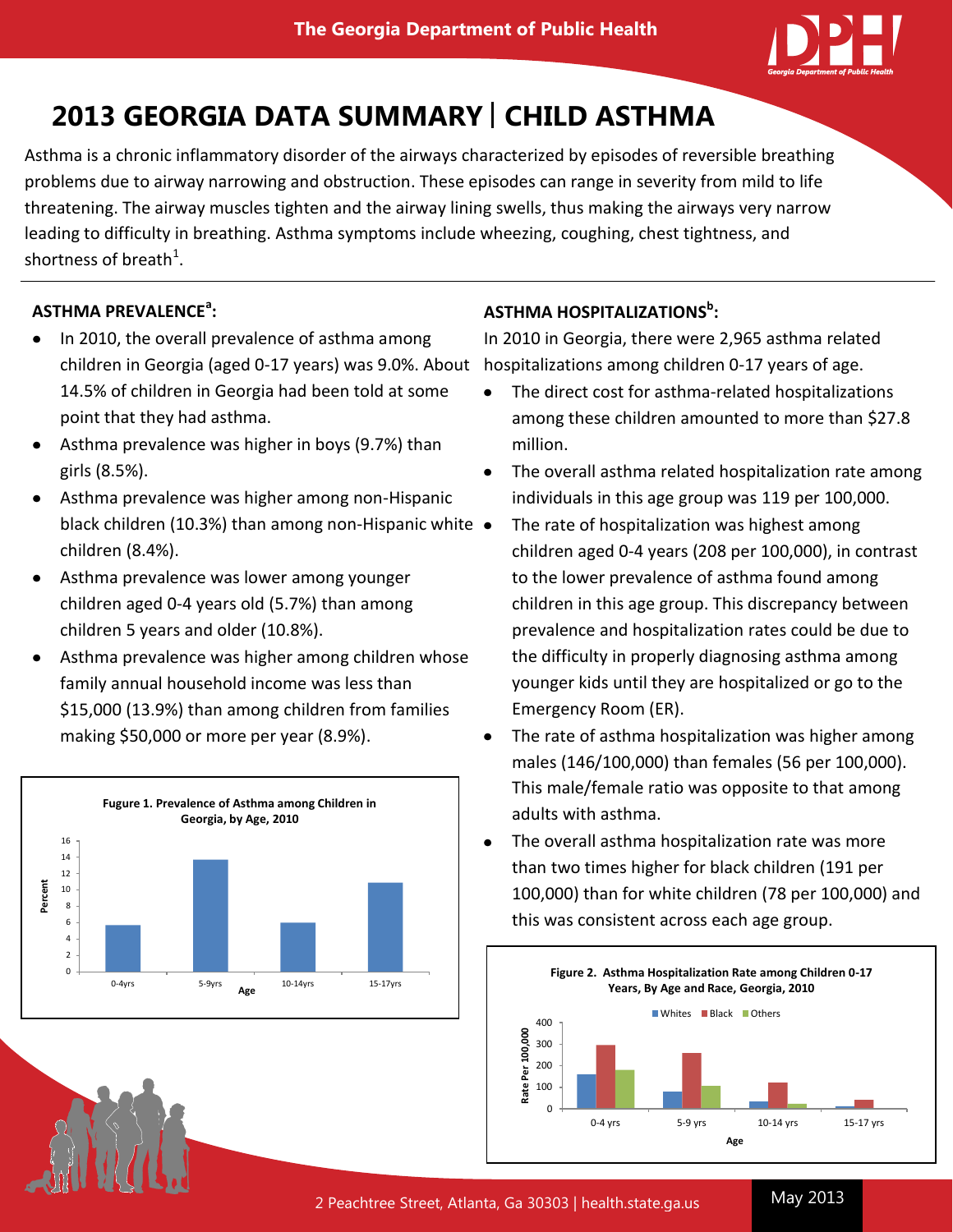

# **2013 GEORGIA DATA SUMMARY | CHILD ASTHMA**

Asthma is a chronic inflammatory disorder of the airways characterized by episodes of reversible breathing problems due to airway narrowing and obstruction. These episodes can range in severity from mild to life threatening. The airway muscles tighten and the airway lining swells, thus making the airways very narrow leading to difficulty in breathing. Asthma symptoms include wheezing, coughing, chest tightness, and shortness of breath<sup>1</sup>.

## **ASTHMA PREVALENCE<sup>a</sup> :**

- In 2010, the overall prevalence of asthma among children in Georgia (aged 0-17 years) was 9.0%. About hospitalizations among children 0-17 years of age. 14.5% of children in Georgia had been told at some point that they had asthma.
- Asthma prevalence was higher in boys (9.7%) than girls (8.5%).
- Asthma prevalence was higher among non-Hispanic black children (10.3%) than among non-Hispanic white • children (8.4%).
- Asthma prevalence was lower among younger children aged 0-4 years old (5.7%) than among children 5 years and older (10.8%).
- Asthma prevalence was higher among children whose family annual household income was less than \$15,000 (13.9%) than among children from families making \$50,000 or more per year (8.9%).



## **ASTHMA HOSPITALIZATIONS b :**

In 2010 in Georgia, there were 2,965 asthma related

- The direct cost for asthma-related hospitalizations among these children amounted to more than \$27.8 million.
- The overall asthma related hospitalization rate among individuals in this age group was 119 per 100,000.
- The rate of hospitalization was highest among children aged 0-4 years (208 per 100,000), in contrast to the lower prevalence of asthma found among children in this age group. This discrepancy between prevalence and hospitalization rates could be due to the difficulty in properly diagnosing asthma among younger kids until they are hospitalized or go to the Emergency Room (ER).
- The rate of asthma hospitalization was higher among males (146/100,000) than females (56 per 100,000). This male/female ratio was opposite to that among adults with asthma.
- The overall asthma hospitalization rate was more than two times higher for black children (191 per 100,000) than for white children (78 per 100,000) and this was consistent across each age group.

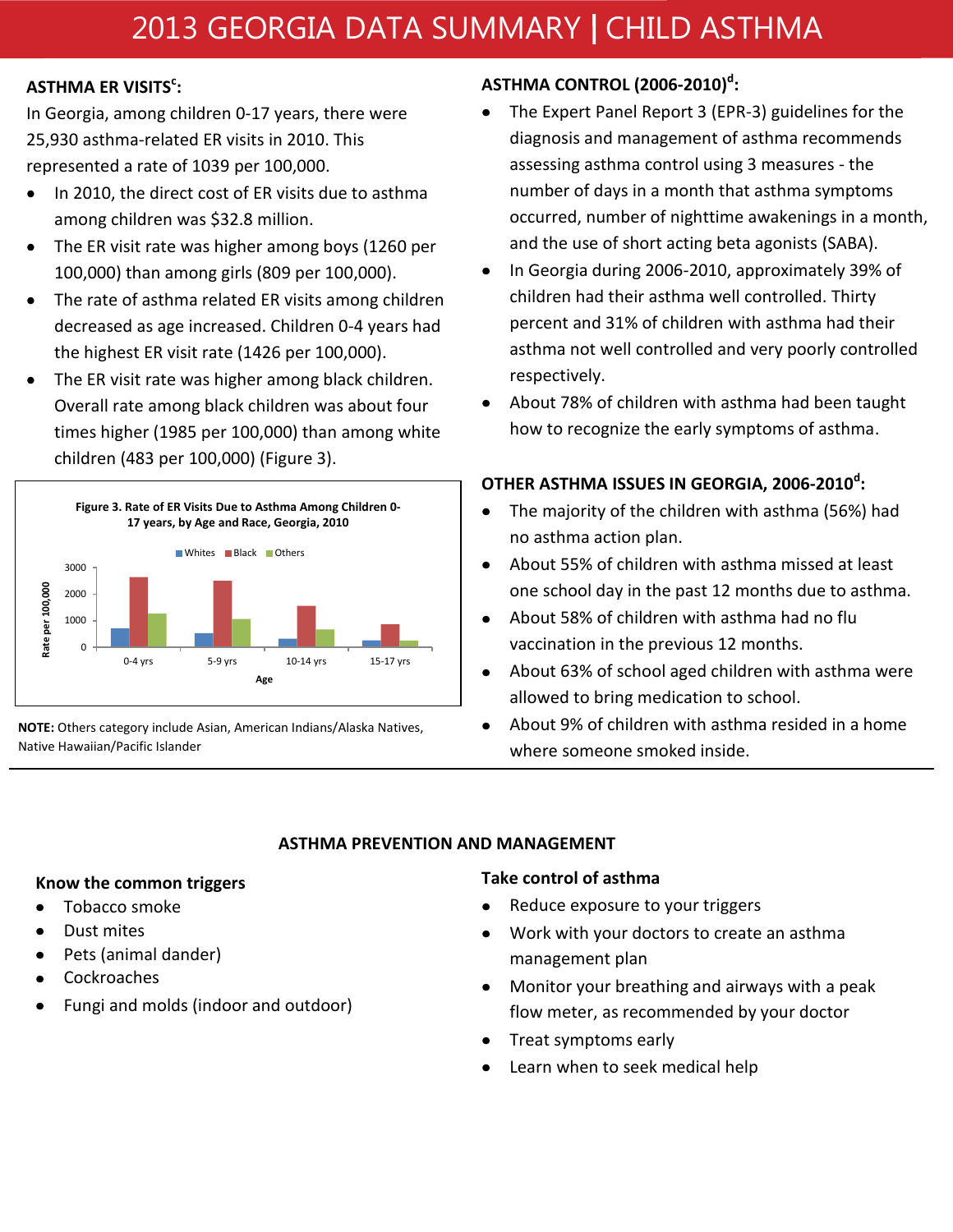# 2013 GEORGIA DATA SUMMARY | CHILD ASTHMA

## **ASTHMA ER VISITS<sup>c</sup> :**

In Georgia, among children 0-17 years, there were 25,930 asthma-related ER visits in 2010. This represented a rate of 1039 per 100,000.

- In 2010, the direct cost of ER visits due to asthma among children was \$32.8 million.
- The ER visit rate was higher among boys (1260 per 100,000) than among girls (809 per 100,000).
- The rate of asthma related ER visits among children decreased as age increased. Children 0-4 years had the highest ER visit rate (1426 per 100,000).
- The ER visit rate was higher among black children. Overall rate among black children was about four times higher (1985 per 100,000) than among white children (483 per 100,000) (Figure 3).



**NOTE:** Others category include Asian, American Indians/Alaska Natives, Native Hawaiian/Pacific Islander

# **ASTHMA CONTROL (2006-2010)<sup>d</sup> :**

- The Expert Panel Report 3 (EPR-3) guidelines for the diagnosis and management of asthma recommends assessing asthma control using 3 measures - the number of days in a month that asthma symptoms occurred, number of nighttime awakenings in a month, and the use of short acting beta agonists (SABA).
- In Georgia during 2006-2010, approximately 39% of  $\bullet$ children had their asthma well controlled. Thirty percent and 31% of children with asthma had their asthma not well controlled and very poorly controlled respectively.
- About 78% of children with asthma had been taught how to recognize the early symptoms of asthma.

## **OTHER ASTHMA ISSUES IN GEORGIA, 2006-2010<sup>d</sup> :**

- The majority of the children with asthma (56%) had no asthma action plan.
- About 55% of children with asthma missed at least one school day in the past 12 months due to asthma.
- About 58% of children with asthma had no flu  $\bullet$ vaccination in the previous 12 months.
- About 63% of school aged children with asthma were  $\bullet$ allowed to bring medication to school.
- About 9% of children with asthma resided in a home where someone smoked inside.

### **ASTHMA PREVENTION AND MANAGEMENT**

### **Know the common triggers**

- Tobacco smoke
- Dust mites
- Pets (animal dander)
- Cockroaches
- Fungi and molds (indoor and outdoor)

### **Take control of asthma**

- Reduce exposure to your triggers
- Work with your doctors to create an asthma  $\bullet$ management plan
- Monitor your breathing and airways with a peak flow meter, as recommended by your doctor
- Treat symptoms early
- Learn when to seek medical help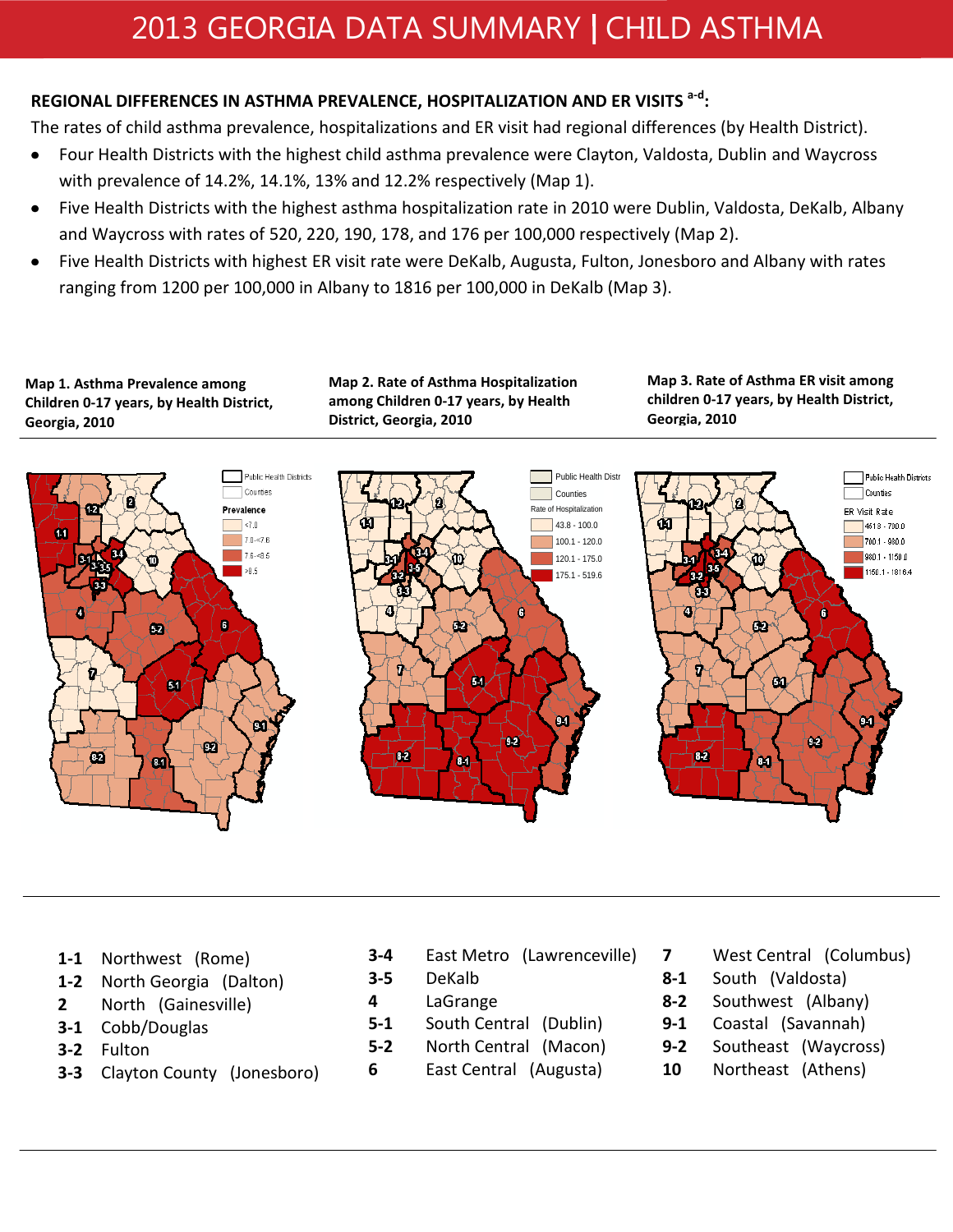# **REGIONAL DIFFERENCES IN ASTHMA PREVALENCE, HOSPITALIZATION AND ER VISITS a-d :**

The rates of child asthma prevalence, hospitalizations and ER visit had regional differences (by Health District).

- Four Health Districts with the highest child asthma prevalence were Clayton, Valdosta, Dublin and Waycross  $\bullet$ with prevalence of 14.2%, 14.1%, 13% and 12.2% respectively (Map 1).
- Five Health Districts with the highest asthma hospitalization rate in 2010 were Dublin, Valdosta, DeKalb, Albany  $\bullet$ and Waycross with rates of 520, 220, 190, 178, and 176 per 100,000 respectively (Map 2).
- Five Health Districts with highest ER visit rate were DeKalb, Augusta, Fulton, Jonesboro and Albany with rates  $\bullet$ ranging from 1200 per 100,000 in Albany to 1816 per 100,000 in DeKalb (Map 3).

**Map 1. Asthma Prevalence among Children 0-17 years, by Health District, Georgia, 2010**

**Map 2. Rate of Asthma Hospitalization among Children 0-17 years, by Health District, Georgia, 2010**

**Map 3. Rate of Asthma ER visit among children 0-17 years, by Health District, Georgia, 2010**



- **1-1** Northwest (Rome)
- **1-2** North Georgia (Dalton)
- **2** North (Gainesville)
- **3-1** Cobb/Douglas
- **3-2** Fulton
- **3-3** Clayton County (Jonesboro)
- **3-4** East Metro (Lawrenceville)
- **3-5** DeKalb
- **4** LaGrange
- **5-1** South Central (Dublin)
- **5-2** North Central (Macon)
- **6** East Central (Augusta)
- West Central (Columbus)
- **8-1** South (Valdosta)

**7**

- **8-2** Southwest (Albany)
- **9-1** Coastal (Savannah)
- **9-2** Southeast (Waycross)
- **10** Northeast (Athens)